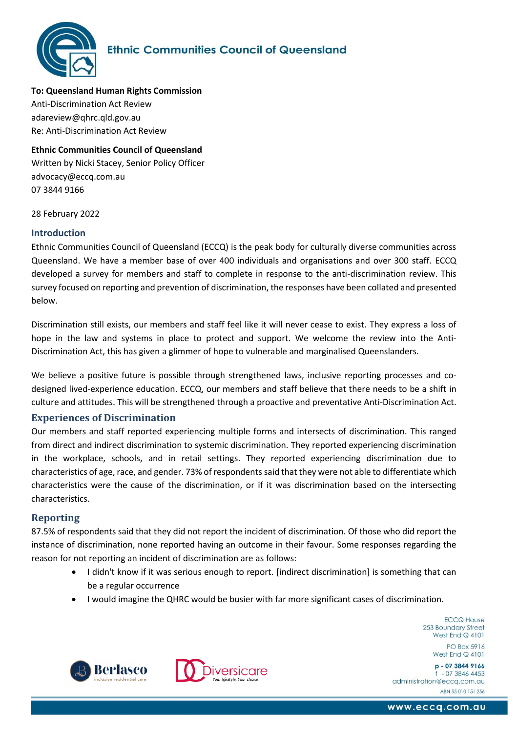

**To: Queensland Human Rights Commission** Anti-Discrimination Act Review adareview@qhrc.qld.gov.au Re: Anti-Discrimination Act Review

**Ethnic Communities Council of Queensland**  Written by Nicki Stacey, Senior Policy Officer advocacy@eccq.com.au 07 3844 9166

28 February 2022

#### **Introduction**

Ethnic Communities Council of Queensland (ECCQ) is the peak body for culturally diverse communities across Queensland. We have a member base of over 400 individuals and organisations and over 300 staff. ECCQ developed a survey for members and staff to complete in response to the anti-discrimination review. This survey focused on reporting and prevention of discrimination, the responses have been collated and presented below.

Discrimination still exists, our members and staff feel like it will never cease to exist. They express a loss of hope in the law and systems in place to protect and support. We welcome the review into the Anti-Discrimination Act, this has given a glimmer of hope to vulnerable and marginalised Queenslanders.

We believe a positive future is possible through strengthened laws, inclusive reporting processes and codesigned lived-experience education. ECCQ, our members and staff believe that there needs to be a shift in culture and attitudes. This will be strengthened through a proactive and preventative Anti-Discrimination Act.

### **Experiences of Discrimination**

Our members and staff reported experiencing multiple forms and intersects of discrimination. This ranged from direct and indirect discrimination to systemic discrimination. They reported experiencing discrimination in the workplace, schools, and in retail settings. They reported experiencing discrimination due to characteristics of age, race, and gender. 73% of respondents said that they were not able to differentiate which characteristics were the cause of the discrimination, or if it was discrimination based on the intersecting characteristics.

### **Reporting**

87.5% of respondents said that they did not report the incident of discrimination. Of those who did report the instance of discrimination, none reported having an outcome in their favour. Some responses regarding the reason for not reporting an incident of discrimination are as follows:

- I didn't know if it was serious enough to report. [indirect discrimination] is something that can be a regular occurrence
- I would imagine the QHRC would be busier with far more significant cases of discrimination.

**ECCQ House** 253 Boundary Street West End  $Q$  4101

PO Box 5916 West End  $Q$  4101







www.eccq.com.au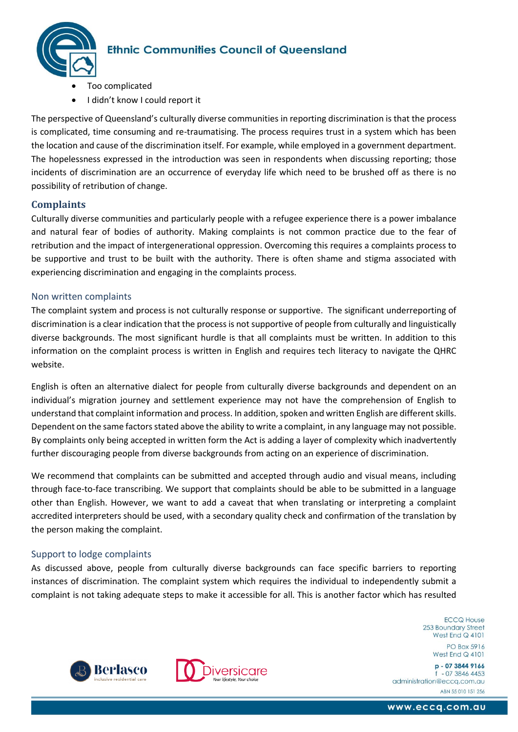

- Too complicated
- I didn't know I could report it

The perspective of Queensland's culturally diverse communities in reporting discrimination is that the process is complicated, time consuming and re-traumatising. The process requires trust in a system which has been the location and cause of the discrimination itself. For example, while employed in a government department. The hopelessness expressed in the introduction was seen in respondents when discussing reporting; those incidents of discrimination are an occurrence of everyday life which need to be brushed off as there is no possibility of retribution of change.

### **Complaints**

Culturally diverse communities and particularly people with a refugee experience there is a power imbalance and natural fear of bodies of authority. Making complaints is not common practice due to the fear of retribution and the impact of intergenerational oppression. Overcoming this requires a complaints process to be supportive and trust to be built with the authority. There is often shame and stigma associated with experiencing discrimination and engaging in the complaints process.

#### Non written complaints

The complaint system and process is not culturally response or supportive. The significant underreporting of discrimination is a clear indication that the process is not supportive of people from culturally and linguistically diverse backgrounds. The most significant hurdle is that all complaints must be written. In addition to this information on the complaint process is written in English and requires tech literacy to navigate the QHRC website.

English is often an alternative dialect for people from culturally diverse backgrounds and dependent on an individual's migration journey and settlement experience may not have the comprehension of English to understand that complaint information and process. In addition, spoken and written English are different skills. Dependent on the same factors stated above the ability to write a complaint, in any language may not possible. By complaints only being accepted in written form the Act is adding a layer of complexity which inadvertently further discouraging people from diverse backgrounds from acting on an experience of discrimination.

We recommend that complaints can be submitted and accepted through audio and visual means, including through face-to-face transcribing. We support that complaints should be able to be submitted in a language other than English. However, we want to add a caveat that when translating or interpreting a complaint accredited interpreters should be used, with a secondary quality check and confirmation of the translation by the person making the complaint.

### Support to lodge complaints

As discussed above, people from culturally diverse backgrounds can face specific barriers to reporting instances of discrimination. The complaint system which requires the individual to independently submit a complaint is not taking adequate steps to make it accessible for all. This is another factor which has resulted

> **ECCQ House** 253 Boundary Street West End  $Q$  4101

PO Box 5916 West Fnd  $Q$  4101





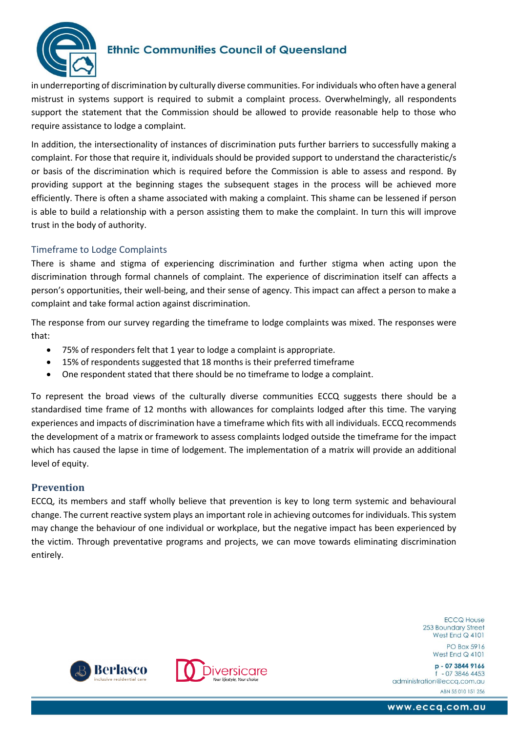

in underreporting of discrimination by culturally diverse communities. For individuals who often have a general mistrust in systems support is required to submit a complaint process. Overwhelmingly, all respondents support the statement that the Commission should be allowed to provide reasonable help to those who require assistance to lodge a complaint.

In addition, the intersectionality of instances of discrimination puts further barriers to successfully making a complaint. For those that require it, individuals should be provided support to understand the characteristic/s or basis of the discrimination which is required before the Commission is able to assess and respond. By providing support at the beginning stages the subsequent stages in the process will be achieved more efficiently. There is often a shame associated with making a complaint. This shame can be lessened if person is able to build a relationship with a person assisting them to make the complaint. In turn this will improve trust in the body of authority.

## Timeframe to Lodge Complaints

There is shame and stigma of experiencing discrimination and further stigma when acting upon the discrimination through formal channels of complaint. The experience of discrimination itself can affects a person's opportunities, their well-being, and their sense of agency. This impact can affect a person to make a complaint and take formal action against discrimination.

The response from our survey regarding the timeframe to lodge complaints was mixed. The responses were that:

- 75% of responders felt that 1 year to lodge a complaint is appropriate.
- 15% of respondents suggested that 18 months is their preferred timeframe
- One respondent stated that there should be no timeframe to lodge a complaint.

To represent the broad views of the culturally diverse communities ECCQ suggests there should be a standardised time frame of 12 months with allowances for complaints lodged after this time. The varying experiences and impacts of discrimination have a timeframe which fits with all individuals. ECCQ recommends the development of a matrix or framework to assess complaints lodged outside the timeframe for the impact which has caused the lapse in time of lodgement. The implementation of a matrix will provide an additional level of equity.

### **Prevention**

ECCQ, its members and staff wholly believe that prevention is key to long term systemic and behavioural change. The current reactive system plays an important role in achieving outcomes for individuals. This system may change the behaviour of one individual or workplace, but the negative impact has been experienced by the victim. Through preventative programs and projects, we can move towards eliminating discrimination entirely.

> **ECCQ House** 253 Boundary Street West End  $Q$  4101

> > PO Box 5916 West Fnd  $Q$  4101

p - 07 3844 9166  $-0738464453$ administration@eccq.com.au ABN 55 010 151 256





www.eccq.com.au